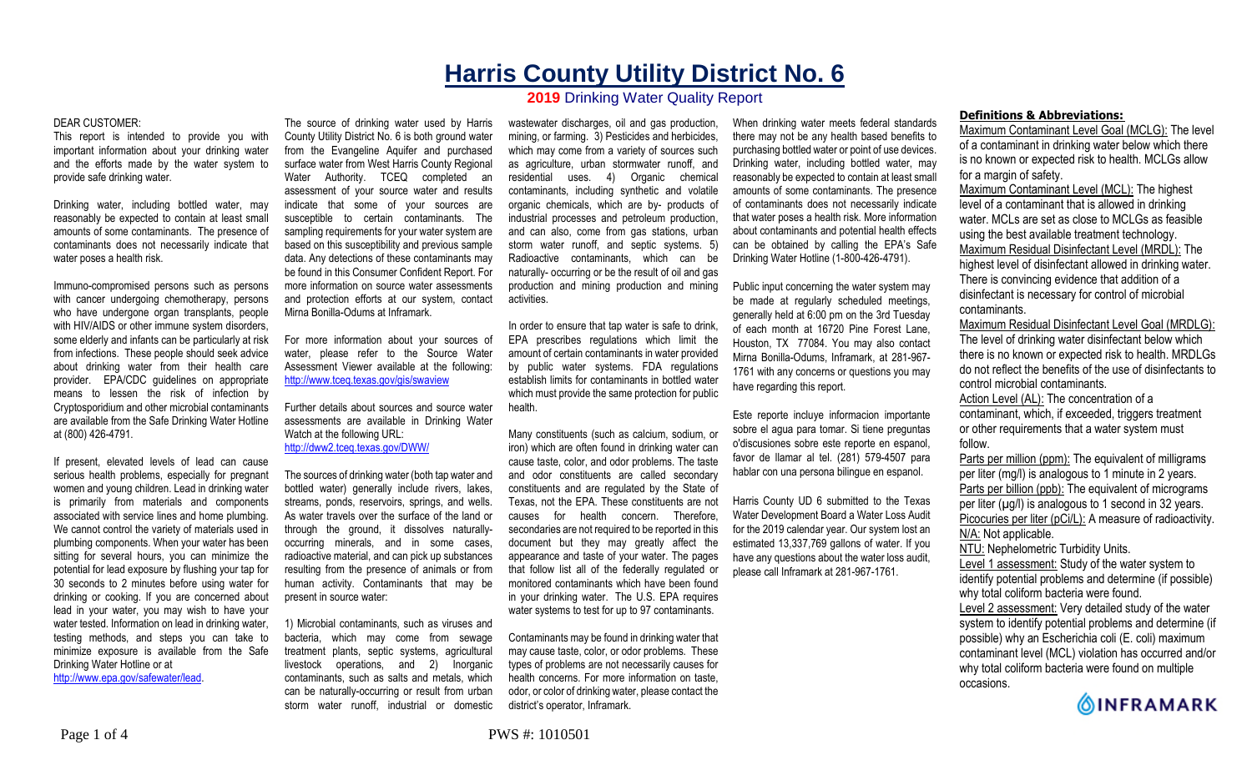# **Harris County Utility District No. 6 2019** Drinking Water Quality Report

#### DEAR CUSTOMER:

This report is intended to provide you with important information about your drinking water and the efforts made by the water system to provide safe drinking water.

Drinking water, including bottled water, may reasonably be expected to contain at least small amounts of some contaminants. The presence of contaminants does not necessarily indicate that water poses a health risk.

Immuno-compromised persons such as persons with cancer undergoing chemotherapy, persons who have undergone organ transplants, people with HIV/AIDS or other immune system disorders, some elderly and infants can be particularly at risk from infections. These people should seek advice about drinking water from their health care provider. EPA/CDC guidelines on appropriate means to lessen the risk of infection by Cryptosporidium and other microbial contaminants are available from the Safe Drinking Water Hotline at (800) 426-4791.

If present, elevated levels of lead can cause serious health problems, especially for pregnant women and young children. Lead in drinking water is primarily from materials and components associated with service lines and home plumbing. We cannot control the variety of materials used in plumbing components. When your water has been sitting for several hours, you can minimize the potential for lead exposure by flushing your tap for 30 seconds to 2 minutes before using water for drinking or cooking. If you are concerned about lead in your water, you may wish to have your water tested. Information on lead in drinking water, testing methods, and steps you can take to minimize exposure is available from the Safe Drinking Water Hotline or at http://www.epa.gov/safewater/lead.

The source of drinking water used by Harris County Utility District No. 6 is both ground water from the Evangeline Aquifer and purchased surface water from West Harris County Regional Water Authority. TCEQ completed an assessment of your source water and results indicate that some of your sources are susceptible to certain contaminants. The sampling requirements for your water system are based on this susceptibility and previous sample data. Any detections of these contaminants may be found in this Consumer Confident Report. For more information on source water assessments and protection efforts at our system, contact Mirna Bonilla-Odums at Inframark.

For more information about your sources of water, please refer to the Source Water Assessment Viewer available at the following: http://www.tceq.texas.gov/gis/swaview

Further details about sources and source water assessments are available in Drinking Water Watch at the following URL: http://dww2.tceq.texas.gov/DWW/

The sources of drinking water (both tap water and bottled water) generally include rivers, lakes, streams, ponds, reservoirs, springs, and wells. As water travels over the surface of the land or through the ground, it dissolves naturallyoccurring minerals, and in some cases, radioactive material, and can pick up substances resulting from the presence of animals or from human activity. Contaminants that may be present in source water:

1) Microbial contaminants, such as viruses and bacteria, which may come from sewage treatment plants, septic systems, agricultural livestock operations, and 2) Inorganic contaminants, such as salts and metals, which can be naturally-occurring or result from urban storm water runoff, industrial or domestic

wastewater discharges, oil and gas production, mining, or farming. 3) Pesticides and herbicides, which may come from a variety of sources such as agriculture, urban stormwater runoff, and residential uses. 4) Organic chemical contaminants, including synthetic and volatile organic chemicals, which are by- products of industrial processes and petroleum production, and can also, come from gas stations, urban storm water runoff, and septic systems. 5) Radioactive contaminants, which can be naturally- occurring or be the result of oil and gas production and mining production and mining activities.

In order to ensure that tap water is safe to drink, EPA prescribes regulations which limit the amount of certain contaminants in water provided by public water systems. FDA regulations establish limits for contaminants in bottled water which must provide the same protection for public health.

Many constituents (such as calcium, sodium, or iron) which are often found in drinking water can cause taste, color, and odor problems. The taste and odor constituents are called secondary constituents and are regulated by the State of Texas, not the EPA. These constituents are not causes for health concern. Therefore, secondaries are not required to be reported in this document but they may greatly affect the appearance and taste of your water. The pages that follow list all of the federally regulated or monitored contaminants which have been found in your drinking water. The U.S. EPA requires water systems to test for up to 97 contaminants.

Contaminants may be found in drinking water that may cause taste, color, or odor problems. These types of problems are not necessarily causes for health concerns. For more information on taste, odor, or color of drinking water, please contact the district's operator, Inframark.

When drinking water meets federal standards there may not be any health based benefits to purchasing bottled water or point of use devices. Drinking water, including bottled water, may reasonably be expected to contain at least small amounts of some contaminants. The presence of contaminants does not necessarily indicate that water poses a health risk. More information about contaminants and potential health effects can be obtained by calling the EPA's Safe Drinking Water Hotline (1-800-426-4791).

Public input concerning the water system may be made at regularly scheduled meetings, generally held at 6:00 pm on the 3rd Tuesday of each month at 16720 Pine Forest Lane, Houston, TX 77084. You may also contact Mirna Bonilla-Odums, Inframark, at 281-967- 1761 with any concerns or questions you may have regarding this report.

Este reporte incluye informacion importante sobre el agua para tomar. Si tiene preguntas o'discusiones sobre este reporte en espanol, favor de llamar al tel. (281) 579-4507 para hablar con una persona bilingue en espanol.

Harris County UD 6 submitted to the Texas Water Development Board a Water Loss Audit for the 2019 calendar year. Our system lost an estimated 13,337,769 gallons of water. If you have any questions about the water loss audit, please call Inframark at 281-967-1761.

### **Definitions & Abbreviations:**

Maximum Contaminant Level Goal (MCLG): The level of a contaminant in drinking water below which there is no known or expected risk to health. MCLGs allow for a margin of safety.

Maximum Contaminant Level (MCL): The highest level of a contaminant that is allowed in drinking water. MCLs are set as close to MCLGs as feasible using the best available treatment technology. Maximum Residual Disinfectant Level (MRDL): The highest level of disinfectant allowed in drinking water. There is convincing evidence that addition of a disinfectant is necessary for control of microbial contaminants.

Maximum Residual Disinfectant Level Goal (MRDLG): The level of drinking water disinfectant below which there is no known or expected risk to health. MRDLGs do not reflect the benefits of the use of disinfectants to control microbial contaminants.

Action Level (AL): The concentration of a contaminant, which, if exceeded, triggers treatment or other requirements that a water system must follow.

Parts per million (ppm): The equivalent of milligrams per liter (mg/l) is analogous to 1 minute in 2 years. Parts per billion (ppb): The equivalent of micrograms per liter  $(\mu g/l)$  is analogous to 1 second in 32 years. Picocuries per liter (pCi/L): A measure of radioactivity. N/A: Not applicable. NTU: Nephelometric Turbidity Units.

Level 1 assessment: Study of the water system to identify potential problems and determine (if possible)

why total coliform bacteria were found.

Level 2 assessment: Very detailed study of the water system to identify potential problems and determine (if possible) why an Escherichia coli (E. coli) maximum contaminant level (MCL) violation has occurred and/or why total coliform bacteria were found on multiple occasions.

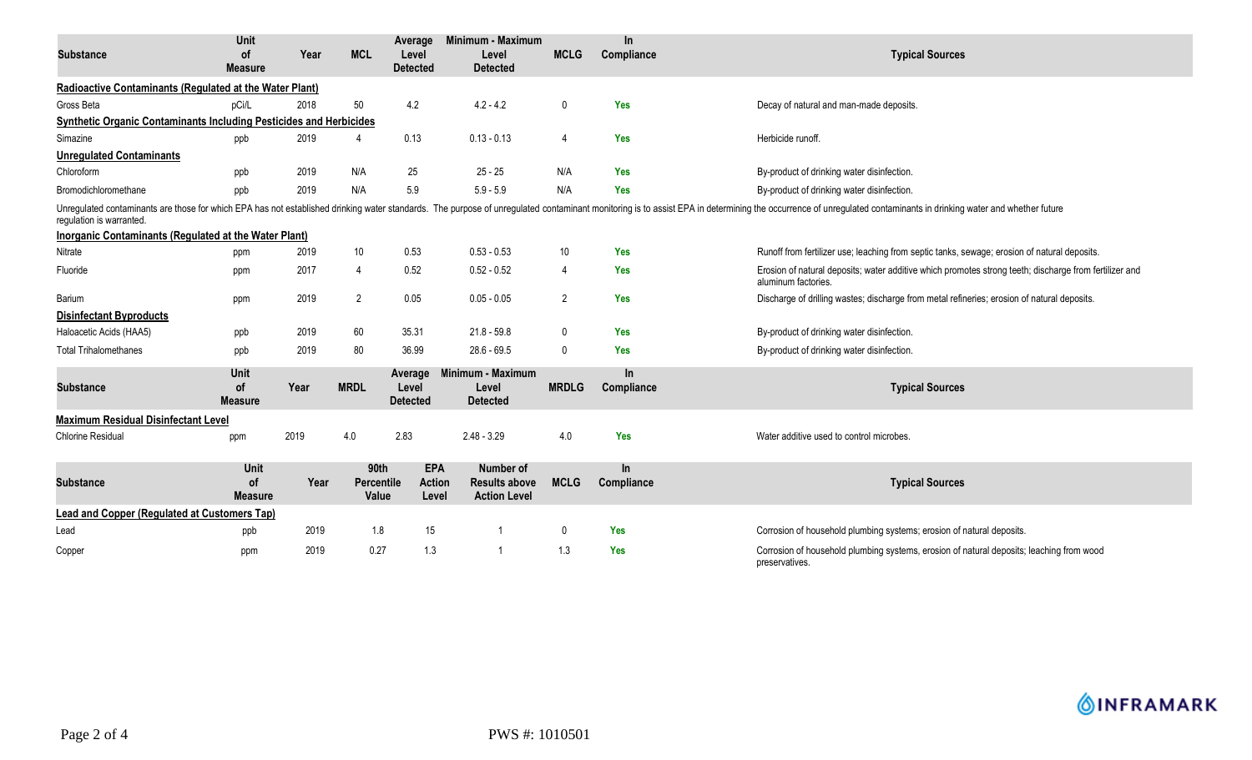| <b>Substance</b>                                                                                                                                                                                                                                           | <b>Unit</b><br><b>of</b><br><b>Measure</b> | Year | <b>MCL</b>                  | Average<br>Level<br><b>Detected</b>  | Minimum - Maximum<br>Level<br><b>Detected</b>            | <b>MCLG</b>    | In.<br>Compliance   | <b>Typical Sources</b>                                                                                                        |  |  |
|------------------------------------------------------------------------------------------------------------------------------------------------------------------------------------------------------------------------------------------------------------|--------------------------------------------|------|-----------------------------|--------------------------------------|----------------------------------------------------------|----------------|---------------------|-------------------------------------------------------------------------------------------------------------------------------|--|--|
| Radioactive Contaminants (Regulated at the Water Plant)                                                                                                                                                                                                    |                                            |      |                             |                                      |                                                          |                |                     |                                                                                                                               |  |  |
| Gross Beta                                                                                                                                                                                                                                                 | pCi/L                                      | 2018 | 50                          | 4.2                                  | $4.2 - 4.2$                                              | $\mathbf 0$    | <b>Yes</b>          | Decay of natural and man-made deposits.                                                                                       |  |  |
| <b>Synthetic Organic Contaminants Including Pesticides and Herbicides</b>                                                                                                                                                                                  |                                            |      |                             |                                      |                                                          |                |                     |                                                                                                                               |  |  |
| Simazine                                                                                                                                                                                                                                                   | ppb                                        | 2019 | 4                           | 0.13                                 | $0.13 - 0.13$                                            | $\overline{4}$ | <b>Yes</b>          | Herbicide runoff.                                                                                                             |  |  |
| <b>Unregulated Contaminants</b>                                                                                                                                                                                                                            |                                            |      |                             |                                      |                                                          |                |                     |                                                                                                                               |  |  |
| Chloroform                                                                                                                                                                                                                                                 | ppb                                        | 2019 | N/A                         | 25                                   | $25 - 25$                                                | N/A            | <b>Yes</b>          | By-product of drinking water disinfection.                                                                                    |  |  |
| Bromodichloromethane                                                                                                                                                                                                                                       | ppb                                        | 2019 | N/A                         | $5.9\,$                              | $5.9 - 5.9$                                              | N/A            | <b>Yes</b>          | By-product of drinking water disinfection                                                                                     |  |  |
| Unregulated contaminants are those for which EPA has not established drinking water standards. The purpose of unregulated contaminant monitoring is to assist EPA in determining the occurrence of unregulated contaminants in<br>regulation is warranted. |                                            |      |                             |                                      |                                                          |                |                     |                                                                                                                               |  |  |
| <b>Inorganic Contaminants (Regulated at the Water Plant)</b>                                                                                                                                                                                               |                                            |      |                             |                                      |                                                          |                |                     |                                                                                                                               |  |  |
| Nitrate                                                                                                                                                                                                                                                    | ppm                                        | 2019 | 10                          | 0.53                                 | $0.53 - 0.53$                                            | 10             | <b>Yes</b>          | Runoff from fertilizer use; leaching from septic tanks, sewage; erosion of natural deposits.                                  |  |  |
| Fluoride                                                                                                                                                                                                                                                   | ppm                                        | 2017 | 4                           | 0.52                                 | $0.52 - 0.52$                                            | $\overline{4}$ | <b>Yes</b>          | Erosion of natural deposits; water additive which promotes strong teeth; discharge from fertilizer and<br>aluminum factories. |  |  |
| Barium                                                                                                                                                                                                                                                     | ppm                                        | 2019 | 2                           | 0.05                                 | $0.05 - 0.05$                                            | 2              | Yes                 | Discharge of drilling wastes; discharge from metal refineries; erosion of natural deposits.                                   |  |  |
| <b>Disinfectant Byproducts</b>                                                                                                                                                                                                                             |                                            |      |                             |                                      |                                                          |                |                     |                                                                                                                               |  |  |
| Haloacetic Acids (HAA5)                                                                                                                                                                                                                                    | ppb                                        | 2019 | 60                          | 35.31                                | $21.8 - 59.8$                                            | $\mathbf{0}$   | <b>Yes</b>          | By-product of drinking water disinfection.                                                                                    |  |  |
| <b>Total Trihalomethanes</b>                                                                                                                                                                                                                               | ppb                                        | 2019 | 80                          | 36.99                                | $28.6 - 69.5$                                            | $\Omega$       | Yes                 | By-product of drinking water disinfection.                                                                                    |  |  |
| <b>Substance</b>                                                                                                                                                                                                                                           | Unit<br>0f<br><b>Measure</b>               | Year | <b>MRDL</b>                 | Average<br>Level<br><b>Detected</b>  | Minimum - Maximum<br>Level<br><b>Detected</b>            | <b>MRDLG</b>   | In.<br>Compliance   | <b>Typical Sources</b>                                                                                                        |  |  |
| <b>Maximum Residual Disinfectant Level</b>                                                                                                                                                                                                                 |                                            |      |                             |                                      |                                                          |                |                     |                                                                                                                               |  |  |
| <b>Chlorine Residual</b>                                                                                                                                                                                                                                   | ppm                                        | 2019 | 4.0                         | 2.83                                 | $2.48 - 3.29$                                            | 4.0            | Yes                 | Water additive used to control microbes.                                                                                      |  |  |
| <b>Substance</b>                                                                                                                                                                                                                                           | Unit<br><b>of</b><br><b>Measure</b>        | Year | 90th<br>Percentile<br>Value | <b>EPA</b><br><b>Action</b><br>Level | Number of<br><b>Results above</b><br><b>Action Level</b> | <b>MCLG</b>    | $\ln$<br>Compliance | <b>Typical Sources</b>                                                                                                        |  |  |
| <b>Lead and Copper (Regulated at Customers Tap)</b>                                                                                                                                                                                                        |                                            |      |                             |                                      |                                                          |                |                     |                                                                                                                               |  |  |
| Lead                                                                                                                                                                                                                                                       | ppb                                        | 2019 | 1.8                         | 15                                   |                                                          | $\Omega$       | <b>Yes</b>          | Corrosion of household plumbing systems; erosion of natural deposits.                                                         |  |  |
| Copper                                                                                                                                                                                                                                                     | ppm                                        | 2019 | 0.27                        | 1.3                                  |                                                          | 1.3            | Yes                 | Corrosion of household plumbing systems, erosion of natural deposits; leaching from wood<br>preservatives.                    |  |  |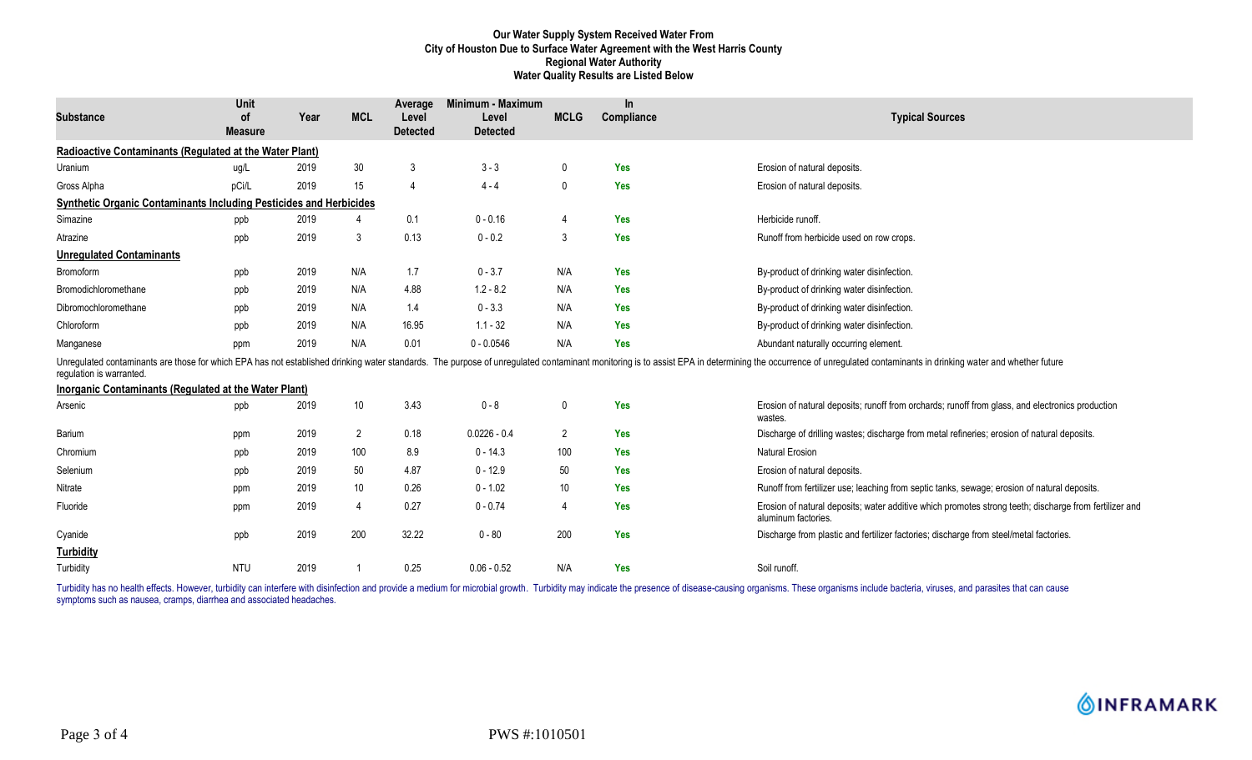## **Our Water Supply System Received Water From City of Houston Due to Surface Water Agreement with the West Harris County Regional Water Authority Water Quality Results are Listed Below**

| <b>Substance</b>                                                          | Unit<br><b>of</b><br><b>Measure</b> | Year | <b>MCL</b>      | Average<br>Level<br><b>Detected</b> | Minimum - Maximum<br>Level<br><b>Detected</b> | <b>MCLG</b>     | <b>In</b><br>Compliance | <b>Typical Sources</b>                                                                                                                                                                                                         |
|---------------------------------------------------------------------------|-------------------------------------|------|-----------------|-------------------------------------|-----------------------------------------------|-----------------|-------------------------|--------------------------------------------------------------------------------------------------------------------------------------------------------------------------------------------------------------------------------|
| Radioactive Contaminants (Regulated at the Water Plant)                   |                                     |      |                 |                                     |                                               |                 |                         |                                                                                                                                                                                                                                |
| Uranium                                                                   | ug/L                                | 2019 | 30              | 3                                   | $3 - 3$                                       | $\mathbf 0$     | Yes                     | Erosion of natural deposits.                                                                                                                                                                                                   |
| Gross Alpha                                                               | pCi/L                               | 2019 | 15              | $\overline{4}$                      | $4 - 4$                                       | $\mathbf{0}$    | <b>Yes</b>              | Erosion of natural deposits.                                                                                                                                                                                                   |
| <b>Synthetic Organic Contaminants Including Pesticides and Herbicides</b> |                                     |      |                 |                                     |                                               |                 |                         |                                                                                                                                                                                                                                |
| Simazine                                                                  | ppb                                 | 2019 |                 | 0.1                                 | $0 - 0.16$                                    | 4               | Yes                     | Herbicide runoff.                                                                                                                                                                                                              |
| Atrazine                                                                  | ppb                                 | 2019 | 3               | 0.13                                | $0 - 0.2$                                     | 3               | <b>Yes</b>              | Runoff from herbicide used on row crops.                                                                                                                                                                                       |
| <b>Unregulated Contaminants</b>                                           |                                     |      |                 |                                     |                                               |                 |                         |                                                                                                                                                                                                                                |
| Bromoform                                                                 | ppb                                 | 2019 | N/A             | 1.7                                 | $0 - 3.7$                                     | N/A             | <b>Yes</b>              | By-product of drinking water disinfection.                                                                                                                                                                                     |
| Bromodichloromethane                                                      | ppb                                 | 2019 | N/A             | 4.88                                | $1.2 - 8.2$                                   | N/A             | <b>Yes</b>              | By-product of drinking water disinfection.                                                                                                                                                                                     |
| Dibromochloromethane                                                      | ppb                                 | 2019 | N/A             | 1.4                                 | $0 - 3.3$                                     | N/A             | <b>Yes</b>              | By-product of drinking water disinfection.                                                                                                                                                                                     |
| Chloroform                                                                | ppb                                 | 2019 | N/A             | 16.95                               | $1.1 - 32$                                    | N/A             | <b>Yes</b>              | By-product of drinking water disinfection.                                                                                                                                                                                     |
| Manganese                                                                 | ppm                                 | 2019 | N/A             | 0.01                                | $0 - 0.0546$                                  | N/A             | <b>Yes</b>              | Abundant naturally occurring element.                                                                                                                                                                                          |
| requlation is warranted.                                                  |                                     |      |                 |                                     |                                               |                 |                         | Unregulated contaminants are those for which EPA has not established drinking water standards. The purpose of unregulated contaminant monitoring is to assist EPA in determining the occurrence of unregulated contaminants in |
| Inorganic Contaminants (Regulated at the Water Plant)                     |                                     |      |                 |                                     |                                               |                 |                         |                                                                                                                                                                                                                                |
| Arsenic                                                                   | ppb                                 | 2019 | 10              | 3.43                                | $0 - 8$                                       | 0               | <b>Yes</b>              | Erosion of natural deposits; runoff from orchards; runoff from glass, and electronics production<br>wastes.                                                                                                                    |
| Barium                                                                    | ppm                                 | 2019 | $\overline{2}$  | 0.18                                | $0.0226 - 0.4$                                | $\overline{2}$  | <b>Yes</b>              | Discharge of drilling wastes; discharge from metal refineries; erosion of natural deposits.                                                                                                                                    |
| Chromium                                                                  | ppb                                 | 2019 | 100             | 8.9                                 | $0 - 14.3$                                    | 100             | Yes                     | <b>Natural Erosion</b>                                                                                                                                                                                                         |
| Selenium                                                                  | ppb                                 | 2019 | 50              | 4.87                                | $0 - 12.9$                                    | 50              | <b>Yes</b>              | Erosion of natural deposits.                                                                                                                                                                                                   |
| Nitrate                                                                   | ppm                                 | 2019 | 10 <sup>°</sup> | 0.26                                | $0 - 1.02$                                    | 10 <sup>°</sup> | <b>Yes</b>              | Runoff from fertilizer use; leaching from septic tanks, sewage; erosion of natural deposits.                                                                                                                                   |
| Fluoride                                                                  | ppm                                 | 2019 | $\overline{4}$  | 0.27                                | $0 - 0.74$                                    | 4               | Yes                     | Erosion of natural deposits; water additive which promotes strong teeth; discharge from fertilizer and<br>aluminum factories.                                                                                                  |
| Cyanide                                                                   | ppb                                 | 2019 | 200             | 32.22                               | $0 - 80$                                      | 200             | <b>Yes</b>              | Discharge from plastic and fertilizer factories; discharge from steel/metal factories.                                                                                                                                         |
| <b>Turbidity</b>                                                          |                                     |      |                 |                                     |                                               |                 |                         |                                                                                                                                                                                                                                |
| Turbidity                                                                 | <b>NTU</b>                          | 2019 |                 | 0.25                                | $0.06 - 0.52$                                 | N/A             | <b>Yes</b>              | Soil runoff.                                                                                                                                                                                                                   |

Turbidity has no health effects. However, turbidity can interfere with disinfection and provide a medium for microbial growth. Turbidity may indicate the presence of disease-causing organisms. These organisms include bacte symptoms such as nausea, cramps, diarrhea and associated headaches.